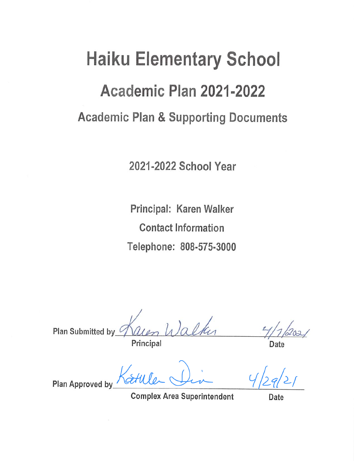# **Haiku Elementary School** Academic Plan 2021-2022 **Academic Plan & Supporting Documents**

2021-2022 School Year

Principal: Karen Walker **Contact Information** Telephone: 808-575-3000

Plan Submitted by Principal

Plan Approved by

**Complex Area Superintendent** 

Date

Date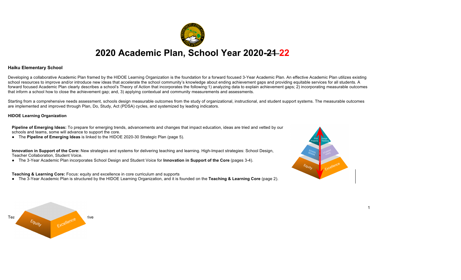

### **Haiku Elementary School**

Developing a collaborative Academic Plan framed by the HIDOE Learning Organization is the foundation for a forward focused 3-Year Academic Plan. An effective Academic Plan utilizes existing school resources to improve and/or introduce new ideas that accelerate the school community's knowledge about ending achievement gaps and providing equitable services for all students. A forward focused Academic Plan clearly describes a school's Theory of Action that incorporates the following:1) analyzing data to explain achievement gaps; 2) incorporating measurable outcomes that inform a school how to close the achievement gap; and, 3) applying contextual and community measurements and assessments.

Starting from a comprehensive needs assessment, schools design measurable outcomes from the study of organizational, instructional, and student support systems. The measurable outcomes are implemented and improved through Plan, Do, Study, Act (PDSA) cycles, and systemized by leading indicators.

### **HIDOE Learning Organization**

**Pipeline of Emerging Ideas:** To prepare for emerging trends, advancements and changes that impact education, ideas are tried and vetted by our schools and teams, some will advance to support the core.

● The **Pipeline of Emerging Ideas** is linked to the HIDOE 2020-30 Strategic Plan (page 5).

**Innovation in Support of the Core:** New strategies and systems for delivering teaching and learning. High-Impact strategies: School Design, Teacher Collaboration, Student Voice.

● The 3-Year Academic Plan incorporates School Design and Student Voice for **Innovation in Support of the Core** (pages 3-4).

**Teaching & Learning Core:** Focus: equity and excellence in core curriculum and supports

● The 3-Year Academic Plan is structured by the HIDOE Learning Organization, and it is founded on the **Teaching & Learning Core** (page 2).



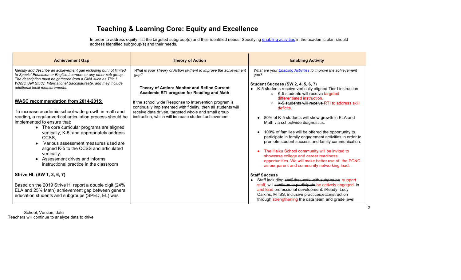# **Teaching & Learning Core: Equity and Excellence**

In order to address equity, list the targeted subgroup(s) and their identified needs. Specifying enabling activities in the academic plan should address identified subgroup(s) and their needs.

| <b>Achievement Gap</b>                                                                                                                                                                                                                                                                                                                                                                                                                                                                                                                                                                                                                                                                                                                                                                         | <b>Theory of Action</b>                                                                                                                                                                                                                                                                                                                                                                                            | <b>Enabling Activity</b>                                                                                                                                                                                                                                                                                                                                                                                                                                                                                                                                                                                                                                                                                                                                                                     |
|------------------------------------------------------------------------------------------------------------------------------------------------------------------------------------------------------------------------------------------------------------------------------------------------------------------------------------------------------------------------------------------------------------------------------------------------------------------------------------------------------------------------------------------------------------------------------------------------------------------------------------------------------------------------------------------------------------------------------------------------------------------------------------------------|--------------------------------------------------------------------------------------------------------------------------------------------------------------------------------------------------------------------------------------------------------------------------------------------------------------------------------------------------------------------------------------------------------------------|----------------------------------------------------------------------------------------------------------------------------------------------------------------------------------------------------------------------------------------------------------------------------------------------------------------------------------------------------------------------------------------------------------------------------------------------------------------------------------------------------------------------------------------------------------------------------------------------------------------------------------------------------------------------------------------------------------------------------------------------------------------------------------------------|
| Identify and describe an achievement gap including but not limited<br>to Special Education or English Learners or any other sub group.<br>The description must be gathered from a CNA such as Title I,<br>WASC Self Study, International Baccalaureate, and may include<br>additional local measurements.<br><b>WASC recommendation from 2014-2015:</b><br>To increase academic school-wide growth in math and<br>reading, a regular vertical articulation process should be<br>implemented to ensure that:<br>• The core curricular programs are aligned<br>vertically, K-5, and appropriately address<br>CCSS,<br>Various assessment measures used are<br>aligned K-5 to the CCSS and articulated<br>vertically.<br>Assessment drives and informs<br>instructional practice in the classroom | What is your Theory of Action (if-then) to improve the achievement<br>gap?<br>Theory of Action: Monitor and Refine Current<br>Academic RTI program for Reading and Math<br>If the school wide Response to Intervention program is<br>continually implemented with fidelity, then all students will<br>receive data driven, targeted whole and small group<br>instruction, which will increase student achievement. | What are your <b>Enabling Activities</b> to improve the achievement<br>gap?<br><b>Student Success (SW 2, 4, 5, 6, 7)</b><br>• K-5 students receive vertically aligned Tier I instruction<br>○ K-5 students will receive targeted<br>differentiated instruction.<br>K-5 students will receive RTI to address skill<br>deficits.<br>80% of K-5 students will show growth in ELA and<br>Math via schoolwide diagnostics.<br>100% of families will be offered the opportunity to<br>participate in family engagement activities in order to<br>promote student success and family communication.<br>The Haiku School community will be invited to<br>showcase college and career readiness<br>opportunities. We will make better use of the PCNC<br>as our parent and community networking lead. |
| Strive HI: (SW 1, 3, 6, 7)<br>Based on the 2019 Strive HI report a double digit (24%<br>ELA and 25% Math) achievement gap between general<br>education students and subgroups (SPED, EL) was                                                                                                                                                                                                                                                                                                                                                                                                                                                                                                                                                                                                   |                                                                                                                                                                                                                                                                                                                                                                                                                    | <b>Staff Success</b><br>Staff including staff that work with subgroups support<br>staff, will continue to participate be actively engaged in<br>and lead professional development: iReady, Lucy<br>Calkins, MTSS, inclusive practices, etc. instruction<br>through strengthening the data team and grade level                                                                                                                                                                                                                                                                                                                                                                                                                                                                               |

 School, Version, date Teachers will continue to analyze data to drive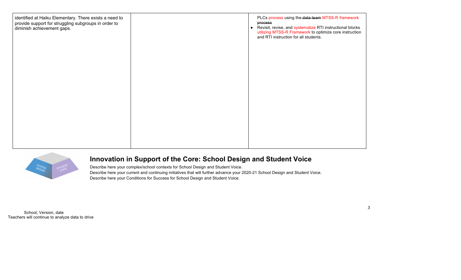



## **Innovation in Support of the Core: School Design and Student Voice**

Describe here your complex/school contexts for School Design and Student Voice. Describe here your current and continuing initiatives that will further advance your 2020-21 School Design and Student Voice. Describe here your Conditions for Success for School Design and Student Voice.

 School, Version, date Teachers will continue to analyze data to drive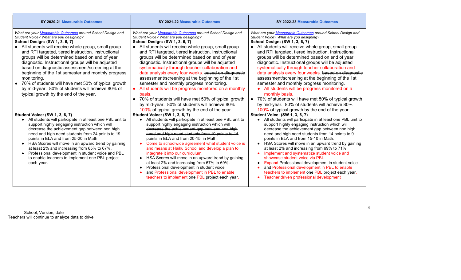| SY 2020-21 Measurable Outcomes                                                                                                                                                                                                                                                                                                                                                                                                                                                                                                                                                                                                                                                                                                                                                                                                                                                                             | SY 2021-22 Measurable Outcomes                                                                                                                                                                                                                                                                                                                                                                                                                                                                                                                                                                                                                                                                                                                                                                                                                                                                                                                                                                                                                                                 | SY 2022-23 Measurable Outcomes                                                                                                                                                                                                                                                                                                                                                                                                                                                                                                                                                                                                                                                                                                                                                                                                                                                                                                                                                                                                                                          |
|------------------------------------------------------------------------------------------------------------------------------------------------------------------------------------------------------------------------------------------------------------------------------------------------------------------------------------------------------------------------------------------------------------------------------------------------------------------------------------------------------------------------------------------------------------------------------------------------------------------------------------------------------------------------------------------------------------------------------------------------------------------------------------------------------------------------------------------------------------------------------------------------------------|--------------------------------------------------------------------------------------------------------------------------------------------------------------------------------------------------------------------------------------------------------------------------------------------------------------------------------------------------------------------------------------------------------------------------------------------------------------------------------------------------------------------------------------------------------------------------------------------------------------------------------------------------------------------------------------------------------------------------------------------------------------------------------------------------------------------------------------------------------------------------------------------------------------------------------------------------------------------------------------------------------------------------------------------------------------------------------|-------------------------------------------------------------------------------------------------------------------------------------------------------------------------------------------------------------------------------------------------------------------------------------------------------------------------------------------------------------------------------------------------------------------------------------------------------------------------------------------------------------------------------------------------------------------------------------------------------------------------------------------------------------------------------------------------------------------------------------------------------------------------------------------------------------------------------------------------------------------------------------------------------------------------------------------------------------------------------------------------------------------------------------------------------------------------|
| What are your Measurable Outcomes around School Design and<br>Student Voice? What are you designing?<br>School Design: (SW 1, 3, 6, 7)<br>• All students will receive whole group, small group<br>and RTI targeted, tiered instruction. Instructional<br>groups will be determined based on end of year<br>diagnostic. Instructional groups will be adjusted<br>based on diagnostic assessment/screening at the<br>beginning of the 1st semester and monthly progress<br>monitoring.<br>• 70% of students will have met 50% of typical growth<br>by mid-year. 80% of students will achieve 80% of<br>typical growth by the end of the year.<br><b>Student Voice: (SW 1, 3, 6, 7)</b><br>• All students will participate in at least one PBL unit to<br>support highly engaging instruction which will<br>decrease the achievement gap between non high<br>need and high need students from 24 points to 19 | What are your Measurable Outcomes around School Design and<br>Student Voice? What are you designing?<br>School Design: (SW 1, 3, 6, 7)<br>All students will receive whole group, small group<br>and RTI targeted, tiered instruction. Instructional<br>groups will be determined based on end of year<br>diagnostic. Instructional groups will be adjusted<br>systematically through teacher collaboration and<br>data analysis every four weeks. based on diagnostic<br>assessment/screening at the beginning of the 1st<br>semester and monthly progress monitoring.<br>All students will be progress monitored on a monthly<br>basis.<br>70% of students will have met 50% of typical growth<br>$\bullet$<br>by mid-year. 80% of students will achieve 80%<br>100% of typical growth by the end of the year.<br><b>Student Voice: (SW 1, 3, 6, 7)</b><br>• All students will participate in at least one PBL unit to<br>support highly engaging instruction which will<br>decrease the achievement gap between non high<br>need and high need students from 19 points to 14 | What are your Measurable Outcomes around School Design and<br>Student Voice? What are you designing?<br><b>School Design: (SW 1, 3, 6, 7)</b><br>All students will receive whole group, small group<br>and RTI targeted, tiered instruction. Instructional<br>groups will be determined based on end of year<br>diagnostic. Instructional groups will be adjusted<br>systematically through teacher collaboration and<br>data analysis every four weeks. based on diagnostic<br>assessment/screening at the beginning of the 1st<br>semester and monthly progress monitoring.<br>• All students will be progress monitored on a<br>monthly basis.<br>70% of students will have met 50% of typical growth<br>by mid-year. 80% of students will achieve 80%<br>100% of typical growth by the end of the year.<br><b>Student Voice: (SW 1, 3, 6, 7)</b><br>All students will participate in at least one PBL unit to<br>support highly engaging instruction which will<br>decrease the achievement gap between non high<br>need and high need students from 14 points to 9 |
| points in ELA and from 25-20 in Math.<br>• HSA Scores will move in an upward trend by gaining<br>at least 2% and increasing from 65% to 67%.<br>• Professional development in student voice and PBL<br>to enable teachers to implement one PBL project<br>each year.                                                                                                                                                                                                                                                                                                                                                                                                                                                                                                                                                                                                                                       | points in ELA and from 20-15 in Math.<br>Come to schoolwide agreement what student voice is<br>$\bullet$<br>and means at Haiku School and develop a plan to<br>integrate it into our curriculum.<br>HSA Scores will move in an upward trend by gaining<br>$\bullet$<br>at least 2% and increasing from 67% to 69%.<br>Professional development in student voice<br>$\bullet$<br>and Professional development in PBL to enable<br>teachers to implement one PBL project each year.                                                                                                                                                                                                                                                                                                                                                                                                                                                                                                                                                                                              | points in ELA and from 15-10 in Math.<br>• HSA Scores will move in an upward trend by gaining<br>at least 2% and increasing from 69% to 71%.<br>Implement and systematize student voice and<br>showcase student voice via PBL<br>Expand Professional development in student voice<br>and Professional development in PBL to enable<br>teachers to implement one PBL project each year.<br>Teacher driven professional development                                                                                                                                                                                                                                                                                                                                                                                                                                                                                                                                                                                                                                       |

 School, Version, date Teachers will continue to analyze data to drive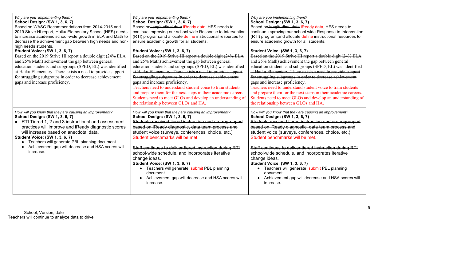| Why are you implementing them?<br><b>School Design: (SW 1, 3, 6, 7)</b><br>Based on WASC Recommendations from 2014-2015 and<br>2019 Strive HI report, Haiku Elementary School (HES) needs<br>to increase academic school-wide growth in ELA and Math to<br>decrease the achievement gap between high needs and non-<br>high needs students.                                                                     | Why are you implementing them?<br>School Design: (SW 1, 3, 6, 7)<br>Based on longitudinal data iReady data, HES needs to<br>continue improving our school wide Response to Intervention<br>(RTI) program, and allocate define instructional resources to<br>ensure academic growth for all students.                                                                                                                                                                                                                                                                                                                         | Why are you implementing them?<br>School Design: (SW 1, 3, 6, 7)<br>Based on longitudinal data iReady data, HES needs to<br>continue improving our school wide Response to Intervention<br>(RTI) program, and allocate define instructional resources to<br>ensure academic growth for all students.                                                                                                                                                                                                                                                                                                                         |
|-----------------------------------------------------------------------------------------------------------------------------------------------------------------------------------------------------------------------------------------------------------------------------------------------------------------------------------------------------------------------------------------------------------------|------------------------------------------------------------------------------------------------------------------------------------------------------------------------------------------------------------------------------------------------------------------------------------------------------------------------------------------------------------------------------------------------------------------------------------------------------------------------------------------------------------------------------------------------------------------------------------------------------------------------------|------------------------------------------------------------------------------------------------------------------------------------------------------------------------------------------------------------------------------------------------------------------------------------------------------------------------------------------------------------------------------------------------------------------------------------------------------------------------------------------------------------------------------------------------------------------------------------------------------------------------------|
| <b>Student Voice: (SW 1, 3, 6, 7)</b><br>Based on the 2019 Strive HI report a double digit (24% ELA<br>and 25% Math) achievement the gap between general<br>education students and subgroups (SPED, EL) was identified<br>at Haiku Elementary. There exists a need to provide support<br>for struggling subgroups in order to decrease achievement<br>gaps and increase proficiency.                            | <b>Student Voice: (SW 1, 3, 6, 7)</b><br>Based on the 2019 Strive HI report a double digit (24% ELA<br>and 25% Math) achievement the gap between general<br>education students and subgroups (SPED, EL) was identified<br>at Haiku Elementary. There exists a need to provide support<br>for struggling subgroups in order to decrease achievement<br>gaps and increase proficiency.<br>Teachers need to understand student voice to train students<br>and prepare them for the next steps in their academic careers.<br>Students need to meet GLOs and develop an understanding of<br>the relationship between GLOs and HA. | <b>Student Voice: (SW 1, 3, 6, 7)</b><br>Based on the 2019 Strive HI report a double digit (24% ELA<br>and 25% Math) achievement the gap between general<br>education students and subgroups (SPED, EL) was identified<br>at Haiku Elementary. There exists a need to provide support<br>for struggling subgroups in order to decrease achievement<br>gaps and increase proficiency.<br>Teachers need to understand student voice to train students<br>and prepare them for the next steps in their academic careers.<br>Students need to meet GLOs and develop an understanding of<br>the relationship between GLOs and HA. |
| How will you know that they are causing an improvement?<br>School Design: (SW 1, 3, 6, 7)<br>• RTI Tiered 1, 2 and 3 instructional and assessment<br>practices will improve and iReady diagnostic scores<br>will increase based on anecdotal data.<br><b>Student Voice: (SW 1, 3, 6, 7)</b><br>• Teachers will generate PBL planning document<br>Achievement gap will decrease and HSA scores will<br>increase. | How will you know that they are causing an improvement?<br>School Design: (SW 1, 3, 6, 7)<br>Students received tiered instruction and are regrouped<br>based on iReady diagnostic, data team process and<br>student voice (surveys, conferences, choice, etc.)<br>Student benchmarks will be met.<br>Staff continues to deliver tiered instruction during RTI<br>school wide schedule, and incorporates iterative<br>change ideas.<br><b>Student Voice: (SW 1, 3, 6, 7)</b><br>• Teachers will generate submit PBL planning<br>document<br>• Achievement gap will decrease and HSA scores will<br>increase.                  | How will you know that they are causing an improvement?<br>School Design: (SW 1, 3, 6, 7)<br>Students received tiered instruction and are regrouped<br>based on iReady diagnostic, data team process and<br>student voice (surveys, conferences, choice, etc.)<br>Student benchmarks will be met.<br>Staff continues to deliver tiered instruction during RTI<br>school wide schedule, and incorporates iterative<br>change ideas.<br><b>Student Voice: (SW 1, 3, 6, 7)</b><br>• Teachers will generate submit PBL planning<br>document<br>• Achievement gap will decrease and HSA scores will<br>increase.                  |

 School, Version, date Teachers will continue to analyze data to drive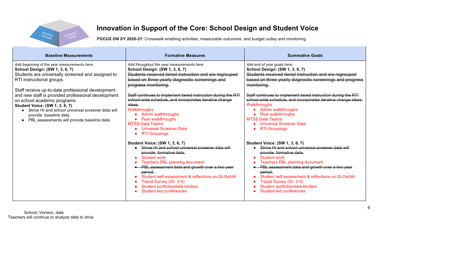

# **Innovation in Support of the Core: School Design and Student Voice**

*FOCUS ON SY 2020-21:* Crosswalk enabling activities, measurable outcomes, and budget outlay and monitoring.

| <b>Baseline Measurements</b>                                                                                                                                                                                                                                                                                                                                                                                                                                                         | <b>Formative Measures</b>                                                                                                                                                                                                                                                                                                                                                                                                                                                                                                                                                                                                                                                                                                                                                                                                                                             | <b>Summative Goals</b>                                                                                                                                                                                                                                                                                                                                                                                                                                                                                                                                                                                                                                                                                                                                                                                                                                          |
|--------------------------------------------------------------------------------------------------------------------------------------------------------------------------------------------------------------------------------------------------------------------------------------------------------------------------------------------------------------------------------------------------------------------------------------------------------------------------------------|-----------------------------------------------------------------------------------------------------------------------------------------------------------------------------------------------------------------------------------------------------------------------------------------------------------------------------------------------------------------------------------------------------------------------------------------------------------------------------------------------------------------------------------------------------------------------------------------------------------------------------------------------------------------------------------------------------------------------------------------------------------------------------------------------------------------------------------------------------------------------|-----------------------------------------------------------------------------------------------------------------------------------------------------------------------------------------------------------------------------------------------------------------------------------------------------------------------------------------------------------------------------------------------------------------------------------------------------------------------------------------------------------------------------------------------------------------------------------------------------------------------------------------------------------------------------------------------------------------------------------------------------------------------------------------------------------------------------------------------------------------|
| Add beginning of the year measurements here.<br>School Design: (SW 1, 3, 6, 7)<br>Students are universally screened and assigned to<br>RTI instructional groups.<br>Staff receive up-to-date professional development<br>and new staff is provided professional development<br>on school academic programs.<br><b>Student Voice: (SW 1, 3, 6, 7)</b><br>Strive HI and school universal screener data will<br>provide baseline data.<br>• PBL assessments will provide baseline data. | Add throughout the year measurements here.<br>School Design: (SW 1, 3, 6, 7)<br>Students received tiered instruction and are regrouped<br>based on three yearly diagnostic screenings and<br>progress monitoring.<br>Staff continues to implement tiered instruction during the RTI<br>school wide schedule, and incorporates iterative change<br>ideas.<br>Walkthroughs<br>Admin walkthroughs<br>• Peer walkthroughs<br><b>MTSS Data Teams</b><br><b>Universal Screener Data</b><br><b>RTI Groupings</b><br><b>Student Voice: (SW 1, 3, 6, 7)</b><br>Strive HI and school universal screener data will<br>provide formative data.<br>Student work<br>Teachers PBL planning document<br>• PBL assessment data and growth over a two year<br>period.<br>Student self-assessment & reflections on GLOs/HA<br>Tripod Survey (Gr. 3-5)<br>Student portfolios/data binders | Add end of year goals here.<br><b>School Design: (SW 1, 3, 6, 7)</b><br>Students received tiered instruction and are regrouped<br>based on three yearly diagnostic screenings and progress<br>monitoring.<br>Staff continues to implement tiered instruction during the RTI<br>school wide schedule, and incorporates iterative change ideas.<br>Walkthroughs<br>• Admin walkthroughs<br>Peer walkthroughs<br><b>MTSS Data Teams</b><br><b>Universal Screener Data</b><br><b>RTI Groupings</b><br><b>Student Voice: (SW 1, 3, 6, 7)</b><br>Strive HI and school universal screener data will<br>provide formative data.<br>Student work<br><b>Teachers PBL planning document</b><br>PBL assessment data and growth over a two year<br>period.<br>Student self-assessment & reflections on GLOs/HA<br>Tripod Survey (Gr. 3-5)<br>Student portfolios/data binders |
|                                                                                                                                                                                                                                                                                                                                                                                                                                                                                      | Student-led conferences                                                                                                                                                                                                                                                                                                                                                                                                                                                                                                                                                                                                                                                                                                                                                                                                                                               | Student-led conferences                                                                                                                                                                                                                                                                                                                                                                                                                                                                                                                                                                                                                                                                                                                                                                                                                                         |

 School, Version, date Teachers will continue to analyze data to drive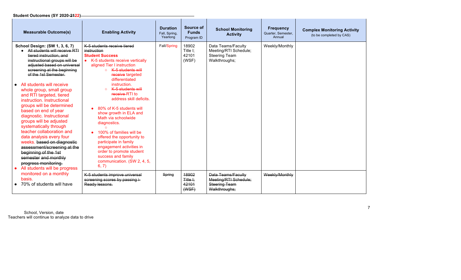### **Student Outcomes (SY 2020-2122)**

|           | <b>Measurable Outcome(s)</b>                                                                                                                                                                                                                                                                                                                                                                                                                                                                                                                                                                                                                                                                             | <b>Enabling Activity</b>                                                                                                                                                                                                                                                                                                                                                                                                                                                                                                                                                                             | <b>Duration</b><br>Fall, Spring.<br>Yearlong | Source of<br><b>Funds</b><br>Program ID | <b>School Monitoring</b><br><b>Activity</b>                                          | <b>Frequency</b><br>Quarter, Semester,<br>Annual | <b>Complex Monitoring Activity</b><br>(to be completed by CAS) |
|-----------|----------------------------------------------------------------------------------------------------------------------------------------------------------------------------------------------------------------------------------------------------------------------------------------------------------------------------------------------------------------------------------------------------------------------------------------------------------------------------------------------------------------------------------------------------------------------------------------------------------------------------------------------------------------------------------------------------------|------------------------------------------------------------------------------------------------------------------------------------------------------------------------------------------------------------------------------------------------------------------------------------------------------------------------------------------------------------------------------------------------------------------------------------------------------------------------------------------------------------------------------------------------------------------------------------------------------|----------------------------------------------|-----------------------------------------|--------------------------------------------------------------------------------------|--------------------------------------------------|----------------------------------------------------------------|
| $\bullet$ | School Design: (SW 1, 3, 6, 7)<br>All students will receive RTI<br>tiered instruction, and<br>instructional groups will be<br>adjusted based on universal<br>screening at the beginning<br>of the 1st Semester.<br>All students will receive<br>whole group, small group<br>and RTI targeted, tiered<br>instruction. Instructional<br>groups will be determined<br>based on end of year<br>diagnostic. Instructional<br>groups will be adjusted<br>systematically through<br>teacher collaboration and<br>data analysis every four<br>weeks. based on diagnostic<br>assessment/screening at the<br>beginning of the 1st<br>semester and monthly<br>progress monitoring.<br>All students will be progress | K-5 students receive tiered<br>instruction<br><b>Student Success</b><br>K-5 students receive vertically<br>aligned Tier I instruction<br>K 5 students will<br>receive targeted<br>differentiated<br>instruction.<br>K 5 students will<br>receive-RTI to<br>address skill deficits.<br>80% of K-5 students will<br>show growth in ELA and<br>Math via schoolwide<br>diagnostics.<br>$\Omega$<br>100% of families will be<br>offered the opportunity to<br>participate in family<br>engagement activities in<br>order to promote student<br>success and family<br>communication. (SW 2, 4, 5,<br>6, 7) | Fall/Spring                                  | 18902<br>Title I;<br>42101<br>(WSF)     | Data Teams/Faculty<br>Meeting/RTI Schedule;<br>Steering Team<br>Walkthroughs;        | Weekly/Monthly                                   |                                                                |
|           | monitored on a monthly<br>basis.<br>70% of students will have                                                                                                                                                                                                                                                                                                                                                                                                                                                                                                                                                                                                                                            | K-5 students improve universal<br>screening scores by passing i-<br>Ready lessons.                                                                                                                                                                                                                                                                                                                                                                                                                                                                                                                   | Spring                                       | 18902<br>Title +:<br>42101<br>(WSE)     | Data Teams/Faculty<br>Meeting/RTI Schedule;<br><b>Steering Team</b><br>Walkthroughs: | Weekly/Monthly                                   |                                                                |

 School, Version, date Teachers will continue to analyze data to drive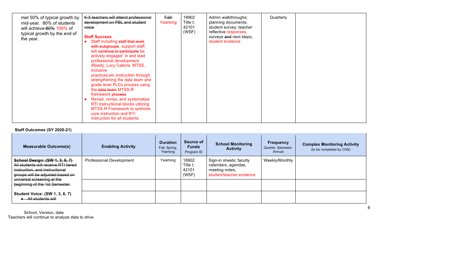### **Staff Outcomes (SY 2020-21)**

| <b>Measurable Outcome(s)</b>                                                                                                                 | <b>Enabling Activity</b>        | <b>Duration</b><br>Fall, Spring,<br>Yearlong | Source of<br><b>Funds</b><br>Program ID | <b>School Monitoring</b><br><b>Activity</b>                                                  | <b>Frequency</b><br>Quarter, Semester,<br>Annual | <b>Complex Monitoring Activity</b><br>(to be completed by CAS) |
|----------------------------------------------------------------------------------------------------------------------------------------------|---------------------------------|----------------------------------------------|-----------------------------------------|----------------------------------------------------------------------------------------------|--------------------------------------------------|----------------------------------------------------------------|
| School Design: (SW 1, 3, 6, 7)<br>All students will receive RTI tiered<br>instruction, and instructional<br>groups will be adjusted based on | <b>Professional Development</b> | Yearlong                                     | 18902<br>Title I:<br>42101<br>(WSF)     | Sign-in sheets; faculty<br>calendars, agendas,<br>meeting notes,<br>student/teacher evidence | Weekly/Monthly                                   |                                                                |
| universal screening at the<br>beginning of the 1st Semester.                                                                                 |                                 |                                              |                                         |                                                                                              |                                                  |                                                                |
| <b>Student Voice: (SW 1, 3, 6, 7)</b><br>All students will                                                                                   |                                 |                                              |                                         |                                                                                              |                                                  |                                                                |

 School, Version, date Teachers will continue to analyze data to drive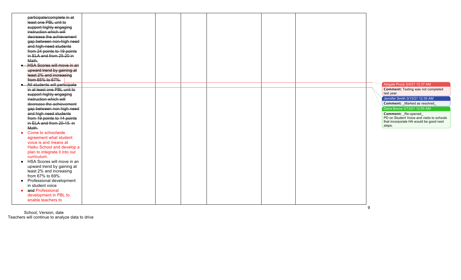|           | participate/complete in at                            |  |  |   |                                           |
|-----------|-------------------------------------------------------|--|--|---|-------------------------------------------|
|           | least one PBL unit to                                 |  |  |   |                                           |
|           | support highly engaging                               |  |  |   |                                           |
|           | instruction which will                                |  |  |   |                                           |
|           | decrease the achievement                              |  |  |   |                                           |
|           | gap between non high need                             |  |  |   |                                           |
|           | and high need students                                |  |  |   |                                           |
|           | from 24 points to 19 points                           |  |  |   |                                           |
|           | in ELA and from 25-20 in                              |  |  |   |                                           |
|           | Math.                                                 |  |  |   |                                           |
|           | <b>HSA Scores will move in an</b>                     |  |  |   |                                           |
|           | upward trend by gaining at<br>least 2% and increasing |  |  |   |                                           |
|           | from 65% to 67%.                                      |  |  |   |                                           |
|           | • All students will participate                       |  |  |   | Abigale Prock 3/4/21 12:37 AM             |
|           | in at least one PBL unit to                           |  |  |   | <b>Comment: Testing was not completed</b> |
|           | support highly engaging                               |  |  |   | last year.                                |
|           | instruction which will                                |  |  |   | Jennifer Smith 3/13/21 12:35 AM           |
|           | decrease the achievement                              |  |  |   | Comment: _Marked as resolved_             |
|           | gap between non high need                             |  |  |   | Daria Boone 3/13/21 12:55 AM              |
|           | and high need students                                |  |  |   | Comment: _Re-opened_                      |
|           | from 19 points to 14 points                           |  |  |   | PD on Student Voice and visits to schools |
|           | in ELA and from 20-15 in                              |  |  |   | that incorporate HA would be good next    |
|           | Math.                                                 |  |  |   | steps.                                    |
|           | • Come to schoolwide                                  |  |  |   |                                           |
|           | agreement what student                                |  |  |   |                                           |
|           | voice is and means at                                 |  |  |   |                                           |
|           | Haiku School and develop a                            |  |  |   |                                           |
|           | plan to integrate it into our                         |  |  |   |                                           |
|           | curriculum.                                           |  |  |   |                                           |
|           | • HSA Scores will move in an                          |  |  |   |                                           |
|           | upward trend by gaining at                            |  |  |   |                                           |
|           | least 2% and increasing                               |  |  |   |                                           |
|           | from 67% to 69%.                                      |  |  |   |                                           |
| $\bullet$ | Professional development<br>in student voice          |  |  |   |                                           |
| $\bullet$ | and Professional                                      |  |  |   |                                           |
|           | development in PBL to                                 |  |  |   |                                           |
|           | enable teachers to                                    |  |  |   |                                           |
|           |                                                       |  |  |   |                                           |
|           |                                                       |  |  | q |                                           |

 School, Version, date Teachers will continue to analyze data to drive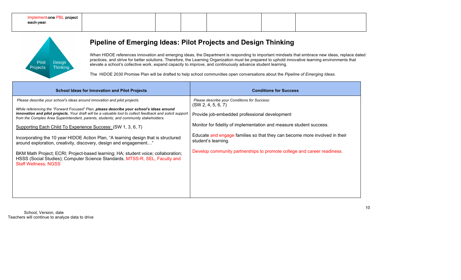| implement one PBL project  <br><del>each year</del> . |  |  |  |
|-------------------------------------------------------|--|--|--|
|                                                       |  |  |  |



## **Pipeline of Emerging Ideas: Pilot Projects and Design Thinking**

When HIDOE references innovation and emerging ideas, the Department is responding to important mindsets that embrace new ideas, replace dated practices, and strive for better solutions. Therefore, the Learning Organization must be prepared to uphold innovative learning environments that elevate a school's collective work, expand capacity to improve, and continuously advance student learning.

The HIDOE 2030 Promise Plan will be drafted to help school communities open conversations about the *Pipeline of Emerging Ideas*.

| <b>School Ideas for Innovation and Pilot Projects</b>                                                                                                                                                                                                                                                                                                                                                                                                                                                                                                                                                                                                                                                                                                                                                    | <b>Conditions for Success</b>                                                                                                                                                                                                                                                                                                                                              |
|----------------------------------------------------------------------------------------------------------------------------------------------------------------------------------------------------------------------------------------------------------------------------------------------------------------------------------------------------------------------------------------------------------------------------------------------------------------------------------------------------------------------------------------------------------------------------------------------------------------------------------------------------------------------------------------------------------------------------------------------------------------------------------------------------------|----------------------------------------------------------------------------------------------------------------------------------------------------------------------------------------------------------------------------------------------------------------------------------------------------------------------------------------------------------------------------|
| Please describe your school's ideas around innovation and pilot projects.<br>While referencing the "Forward Focused" Plan, please describe your school's ideas around<br>innovation and pilot projects. Your draft will be a valuable tool to collect feedback and solicit support<br>from the Complex Area Superintendent, parents, students, and community stakeholders.<br>Supporting Each Child To Experience Success: (SW 1, 3, 6, 7)<br>Incorporating the 10 year HIDOE Action Plan, "A learning design that is structured<br>around exploration, creativity, discovery, design and engagement"<br>BKM Math Project; ECRI; Project-based learning; HA; student voice; collaboration;<br>HSSS (Social Studies); Computer Science Standards, MTSS-R, SEL, Faculty and<br><b>Staff Wellness, NGSS</b> | Please describe your Conditions for Success:<br>(SW 2, 4, 5, 6, 7)<br>Provide job-embedded professional development<br>Monitor for fidelity of implementation and measure student success.<br>Educate and engage families so that they can become more involved in their<br>student's learning.<br>Develop community partnerships to promote college and career readiness. |

 School, Version, date Teachers will continue to analyze data to drive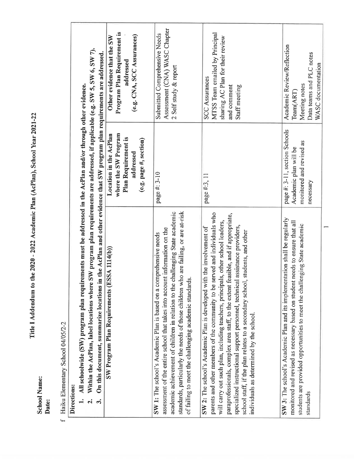Title I Addendum to the 2020 - 2022 Academic Plan (AcPlan), School Year 2021-22

**School Name:** Date: f Haiku Elementary School 04/05/2-2

Directions:

1. All schoolwide (SW) program plan requirements must be addressed in the AcPlan and/or through other evidence.<br>
2 Within the AcPlan Jabal Lootions where SW resources also contained as a set of the set of containing the c

| where a construct the ACT ranger and the SW program plan requirements are addressed, if applicable (e.g. SW 5, SW 0, SW 7).<br>On this document, summarize locations<br>ر<br>پ<br>ကိ                                                                                                                                                                                                                                                                                                                                                      | in the AcPlan and other evidence that SW program plan requirements are addressed.                            |                                                                                                                             |
|-------------------------------------------------------------------------------------------------------------------------------------------------------------------------------------------------------------------------------------------------------------------------------------------------------------------------------------------------------------------------------------------------------------------------------------------------------------------------------------------------------------------------------------------|--------------------------------------------------------------------------------------------------------------|-----------------------------------------------------------------------------------------------------------------------------|
| SW Program Plan Requirements (ESSA 1114(b))                                                                                                                                                                                                                                                                                                                                                                                                                                                                                               | Location in the AcPlan<br>where the SW Program<br>Plan Requirement is<br>(e.g. page #, section)<br>addressed | Program Plan Requirement is<br>(e.g. CNA, SCC Assurances)<br>Other evidence that the SW<br>addressed                        |
| academic achievement of children in relation to the challenging State academic<br>standards, particularly the needs of those children who are failing, or are at-risk<br>assessment of the entire school that takes into account information on the<br>SW 1: The school's Academic Plan is based on a comprehensive needs<br>of failing to meet the challenging academic standards.                                                                                                                                                       | page #: 3-10                                                                                                 | Assessment (CNA) WASC Chapter<br>Submitted Comprehensive Needs<br>2 Self study & report                                     |
| parents and other members of the community to be served and individuals who<br>paraprofessionals, complex area staff, to the extent feasible, and if appropriate,<br>will carry out such plan, including teachers, principals, other school leaders,<br>specialized instructional support personnel, technical assistance providers,<br>SW 2: The school's Academic Plan is developed with the involvement of<br>school staff, if the plan relates to a secondary school, students, and other<br>individuals as determined by the school. | page #:3, 11                                                                                                 | MTSS Team emailed by Principal<br>sharing AC Plan for their review<br><b>SCC Assurances</b><br>and comment<br>Staff meeting |
| SW 3: The school's Academic Plan and its implementation shall be regularly<br>monitored and revised as necessary based on student needs to ensure that all<br>students are provided opportunities to meet the challenging State academic<br>standards                                                                                                                                                                                                                                                                                     | page #: 3-11, section Schools<br>monitored and revised as<br>Academic plan will be<br>necessary              | Academic Review/Reflection<br>Data teams and PLC notes<br>WASC documentation<br>Meeting notes<br>Team(ART)                  |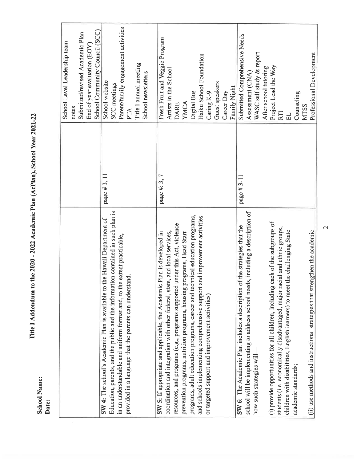School Name:<br>Date:

# Title I Addendum to the 2020 - 2022 Academic Plan (AcPlan), School Year 2021-22

|                                                                                             | School Level Leadership team        |
|---------------------------------------------------------------------------------------------|-------------------------------------|
|                                                                                             | notes                               |
|                                                                                             | Submitted/revised Academic Plan     |
|                                                                                             | End of year evaluation (EOY)        |
|                                                                                             | School Community Council (SCC)      |
| page #3, 11<br>the Hawaii Department of<br>SW 4: The school's Academic Plan is available to | School website                      |
| Education, parents, and the public and the information contained in such plan is            | SCC meetings                        |
| in an understandable and uniform format and, to the extent practicable,                     | Parent/family engagement activities |
| provided in a language that the parents can understand.                                     | PTA                                 |
|                                                                                             | Title I annual meeting              |
|                                                                                             | School newsletters                  |
|                                                                                             |                                     |
| page #: 3, 7<br>Plan is developed in<br>SW 5: If appropriate and applicable, the Academic   | Fresh Fruit and Veggie Program      |
| coordination and integration with other federal, state, and local services,                 | Artists in the School               |
| under this Act, violence<br>resources, and programs (e.g., programs supported               | <b>DARE</b>                         |
| prevention programs, nutrition programs, housing programs, Head Start                       | YMCA                                |
| programs, adult education programs, career and technical education programs,                | Digital Bus                         |
| and schools implementing comprehensive support and improvement activities                   | Haiku School Foundation             |
| or targeted support and improvement activities)                                             | Caring K-9                          |
|                                                                                             | Guest speakers                      |
|                                                                                             | Career Day                          |
|                                                                                             | Family Night                        |
| page #3-11<br>SW 6: The Academic Plan includes a description of the strategies that the     | Submitted Comprehensive Needs       |
| is, including a description of<br>school will be implementing to address school need        | Assessment (CNA)                    |
| how such strategies will-                                                                   | WASC self study & report            |
|                                                                                             | After school tutoring               |
| (i) provide opportunities for all children, including each of the subgroups of              | Project Lead the Way                |
| students (i.e. economically disadvantaged, major racial and ethnic groups,                  | <b>RTI</b>                          |
| children with disabilities, English learners) to meet the challenging State                 | 밈                                   |
| academic standards;                                                                         | Counseling                          |
|                                                                                             | <b>MTSS</b>                         |
| (ii) use methods and instructional strategies that strengthen the academic                  | Professional Development            |

 $\overline{\mathcal{L}}$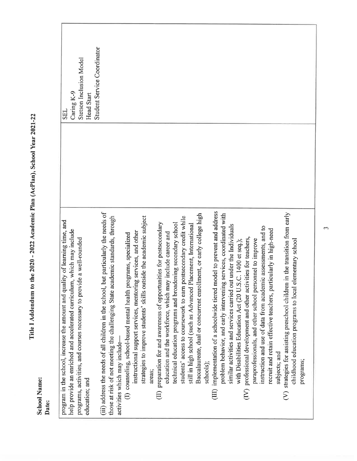| <b>School Name:</b><br>Date:                                                                                                                                                                                                                                                                      | スメール アプリス |                                                                   |
|---------------------------------------------------------------------------------------------------------------------------------------------------------------------------------------------------------------------------------------------------------------------------------------------------|-----------|-------------------------------------------------------------------|
| program in the school, increase the amount and quality of learning time, and<br>help provide an enriched and accelerated curriculum, which may include<br>programs, activities, and courses necessary to provide a well-rounded<br>education; and                                                 |           | Stetson Inclusion Model<br>Caring K-9<br>Head Start<br><b>SEL</b> |
| but particularly the needs of<br>those at risk of not meeting the challenging State academic standards, through<br>(iii) address the needs of all children in the school,<br>activities which may include-                                                                                        |           | Student Service Coordinator                                       |
| strategies to improve students' skills outside the academic subject<br>instructional support services, mentoring services, and other<br>(I) counseling, school-based mental health programs, specialized<br>areas:                                                                                |           |                                                                   |
| postsecondary credit while<br>preparation for and awareness of opportunities for postsecondary<br>technical education programs and broadening secondary school<br>education and the workforce, which may include career and<br>students' access to coursework to earn<br>$\bigoplus$              |           |                                                                   |
| Baccalaureate, dual or concurrent enrollment, or early college high<br>Placement, International<br>still in high school (such as Advanced<br>schools);                                                                                                                                            |           |                                                                   |
| model to prevent and address<br>problem behavior, and early intervening services, coordinated with<br>similar activities and services carried out under the Individuals<br>with Disabilities Education Act (20 U.S.C. 1400 et seq.);<br>(III) implementation of a schoolwide tiered i             |           |                                                                   |
| instruction and use of data from academic assessments, and to<br>recruit and retain effective teachers, particularly in high-need<br>professional development and other activities for teachers,<br>paraprofessionals, and other school personnel to improve<br>subjects; and<br>$\sum_{i=1}^{n}$ |           |                                                                   |
| (V) strategies for assisting preschool children in the transition from early<br>elementary school<br>childhood education programs to local<br>programs;                                                                                                                                           |           |                                                                   |

Title I Addendum to the 2020 - 2022 Academic Plan (AcPlan), School Year 2021-22